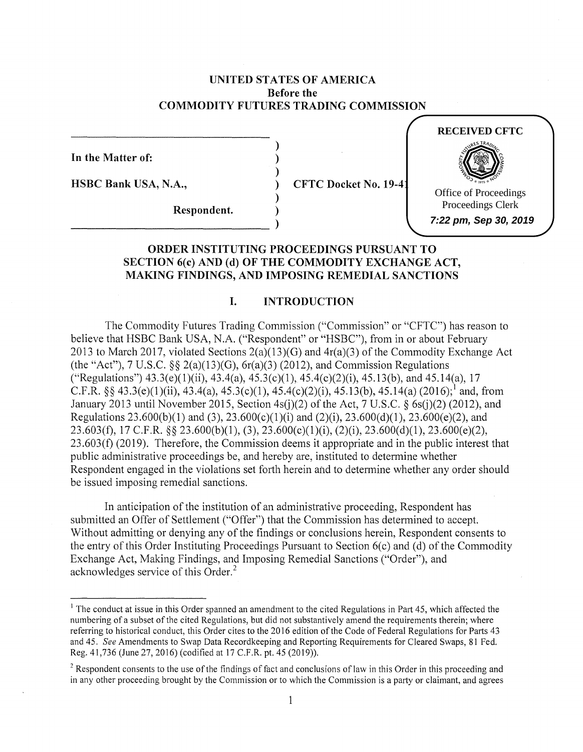## **UNITED STATES OF AMERICA Before the COMMODITY FUTURES TRADING COMMISSION**

) ) )

)

**In the Matter of:** 

**HSBC Bank USA, N.A.,** ) **CFTC Docket No. 19-41** 

**RECEIVED CFTC**

Office of Proceedings Proceedings Clerk **7:22 pm, Sep 30, 2019**

 $Respondent.$ 

## **ORDER INSTITUTING PROCEEDINGS PURSUANT TO SECTION 6(c) AND (d) OF THE COMMODITY EXCHANGE ACT, MAKING FINDINGS, AND IMPOSING REMEDIAL SANCTIONS**

# **I. INTRODUCTION**

The Commodity Futures Trading Commission ("Commission" or "CFTC") has reason to believe that HSBC Bank USA, N.A. ("Respondent" or "HSBC"), from in or about February 2013 to March 2017, violated Sections  $2(a)(13)(G)$  and  $4r(a)(3)$  of the Commodity Exchange Act (the "Act"), 7 U.S.C.  $\S$ § 2(a)(13)(G), 6r(a)(3) (2012), and Commission Regulations ("Regulations")  $43.3(e)(1)(ii)$ ,  $43.4(a)$ ,  $45.3(c)(1)$ ,  $45.4(c)(2)(i)$ ,  $45.13(b)$ , and  $45.14(a)$ ,  $17$ C.F.R. §§ 43.3(e)(1)(ii), 43.4(a), 45.3(c)(1), 45.4(c)(2)(i), 45.13(b), 45.14(a) (2016); and, from January 2013 until November 2015, Section 4s(j)(2) of the Act, 7 U.S.C. § 6s(j)(2) (2012), and Regulations 23.600(b)(1) and (3), 23.600(c)(1)(i) and (2)(i), 23.600(d)(1), 23.600(e)(2), and 23.603(±), 17 C.F.R. §§ 23.600(b)(l), (3), 23.600(c)(l)(i), (2)(i), 23.600(d)(l), 23.600(e)(2), 23 .603(f) (2019). Therefore, the Commission deems it appropriate and in the public interest that public administrative proceedings be, and hereby are, instituted to determine whether Respondent engaged in the violations set forth herein and to determine whether any order should be issued imposing remedial sanctions.

In anticipation of the institution of an administrative proceeding, Respondent has submitted an Offer of Settlement ("Offer") that the Commission has determined to accept. Without admitting or denying any of the findings or conclusions herein, Respondent consents to the entry of this Order Instituting Proceedings Pursuant to Section 6(c) and (d) of the Commodity Exchange Act, Making Findings, and Imposing Remedial Sanctions ("Order"), and acknowledges service of this Order.<sup>2</sup>

<sup>&</sup>lt;sup>1</sup> The conduct at issue in this Order spanned an amendment to the cited Regulations in Part 45, which affected the numbering of a subset of the cited Regulations, but did not substantively amend the requirements therein; where referring to historical conduct, this Order cites to the 2016 edition of the Code of Federal Regulations for Parts 43 and 45. *See* Amendments to Swap Data Recordkeeping and Reporting Requirements for Cleared Swaps, 81 Fed. Reg. 41,736 (June 27, 2016) (codified at 17 C.F.R. pt. 45 (2019)).

 $2$  Respondent consents to the use of the findings of fact and conclusions of law in this Order in this proceeding and in any other proceeding brought by the Commission or to which the Commission is a party or claimant, and agrees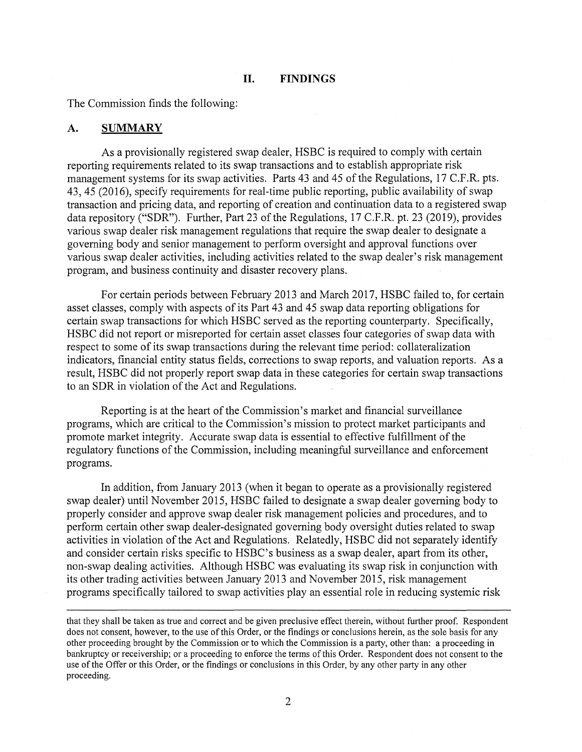#### **II. FINDINGS**

The Commission finds the following:

#### **A. SUMMARY**

As a provisionally registered swap dealer, HSBC is required to comply with certain reporting requirements related to its swap transactions and to establish appropriate risk management systems for its swap activities. Parts 43 and 45 of the Regulations, 17 C.F.R. pts. 43, 45 (2016), specify requirements for real-time public reporting, public availability of swap transaction and pricing data, and reporting of creation and continuation data to a registered swap data repository ("SDR"). Further, Part 23 of the Regulations, 17 C.F.R. pt. 23 (2019), provides various swap dealer risk management regulations that require the swap dealer to designate a governing body and senior management to perform oversight and approval functions over various swap dealer activities, including activities related to the swap dealer's risk management program, and business continuity and disaster recovery plans.

For certain periods between February 2013 and March 2017, HSBC failed to, for certain asset classes, comply with aspects of its Part 43 and 45 swap data reporting obligations for certain swap transactions for which HSBC served as the reporting counterparty. Specifically, HSBC did not report or misreported for certain asset classes four categories of swap data with respect to some of its swap transactions during the relevant time period: collateralization indicators, financial entity status fields, corrections to swap reports, and valuation reports. As a result, HSBC did not properly report swap data in these categories for certain swap transactions to an SDR in violation of the Act and Regulations.

Reporting is at the heart of the Commission's market and financial surveillance programs, which are critical to the Commission's mission to protect market participants and promote market integrity. Accurate swap data is essential to effective fulfillment of the regulatory functions of the Commission, including meaningful surveillance and enforcement programs.

In addition, from January 2013 (when it began to operate as a provisionally registered swap dealer) until November 2015, HSBC failed to designate a swap dealer governing body to properly consider and approve swap dealer risk management policies and procedures, and to perform certain other swap dealer-designated governing body oversight duties related to swap activities in violation of the Act and Regulations. Relatedly, HSBC did not separately identify and consider certain risks specific to HSBC's business as a swap dealer, apart from its other, non-swap dealing activities. Although HSBC was evaluating its swap risk in conjunction with its other trading activities between January 2013 and November 2015, risk management programs specifically tailored to swap activities play an essential role in reducing systemic risk

that they shall be taken as true and correct and be given preclusive effect therein, without further proof. Respondent does not consent, however, to the use of this Order, or the findings or conclusions herein, as the sole basis for any other proceeding brought by the Commission or to which the Commission is a party, other than: a proceeding in bankruptcy or receivership; or a proceeding to enforce the terms of this Order. Respondent does not consent to the use of the Offer or this Order, or the findings or conclusions in this Order, by any other party in any other proceeding.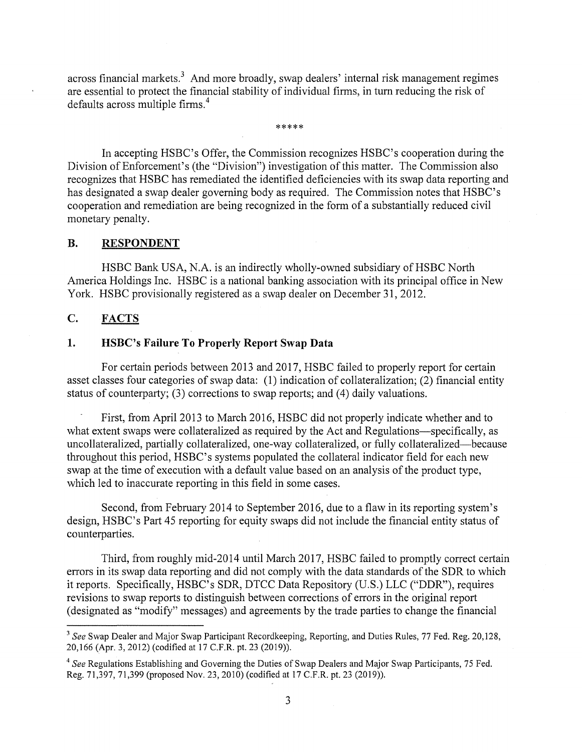across financial markets.<sup>3</sup> And more broadly, swap dealers' internal risk management regimes are essential to protect the financial stability of individual firms, in turn reducing the risk of defaults across multiple firms. <sup>4</sup>

\*\*\*\*\*

In accepting HSBC's Offer, the Commission recognizes HSBC's cooperation during the Division of Enforcement's (the "Division") investigation of this matter. The Commission also recognizes that HSBC has remediated the identified deficiencies with its swap data reporting and has designated a swap dealer governing body as required. The Commission notes that HSBC's cooperation and remediation are being recognized in the form of a substantially reduced civil monetary penalty.

## **B. RESPONDENT**

HSBC Bank USA, N.A. is an indirectly wholly-owned subsidiary of HSBC North America Holdings Inc. HSBC is a national banking association with its principal office in New York. HSBC provisionally registered as a swap dealer on December 31, 2012.

## **C. FACTS**

## **1. HSBC's Failure To Properly Report Swap Data**

For certain periods between 2013 and 2017, HSBC failed to properly report for certain asset classes four categories of swap data: (1) indication of collateralization; (2) financial entity status of counterparty; (3) corrections to swap reports; and (4) daily valuations.

First, from April 2013 to March 2016, HSBC did not properly indicate whether and to what extent swaps were collateralized as required by the Act and Regulations-specifically, as uncollateralized, partially collateralized, one-way collateralized, or fully collateralized-because throughout this period, HSBC's systems populated the collateral indicator field for each new swap at the time of execution with a default value based on an analysis of the product type, which led to inaccurate reporting in this field in some cases.

Second, from February 2014 to September 2016, due to a flaw in its reporting system's design, HSBC's Part 45 reporting for equity swaps did not include the financial entity status of counterparties.

Third, from roughly mid-2014 until March 2017, HSBC failed to promptly correct certain errors in its swap data reporting and did not comply with the data standards of the SDR to which it reports. Specifically, HSBC's SDR, DTCC Data Repository (U.S.) LLC ("DDR"), requires revisions to swap reports to distinguish between corrections of errors in the original report ( designated as "modify" messages) and agreements by the trade parties to change the financial

<sup>3</sup>*See* Swap Dealer and Major Swap Participant Recordkeeping, Reporting, and Duties Rules, 77 Fed. Reg. 20,128, 20,166 (Apr. 3, 2012) (codified at 17 C.F.R. pt. 23 (2019)).

<sup>4</sup>*See* Regulations Establishing and Governing the Duties of Swap Dealers and Major Swap Participants, 75 Fed. Reg. 71,397, 71,399 (proposed Nov. 23, 2010) (codified at 17 C.F.R. pt. 23 (2019)).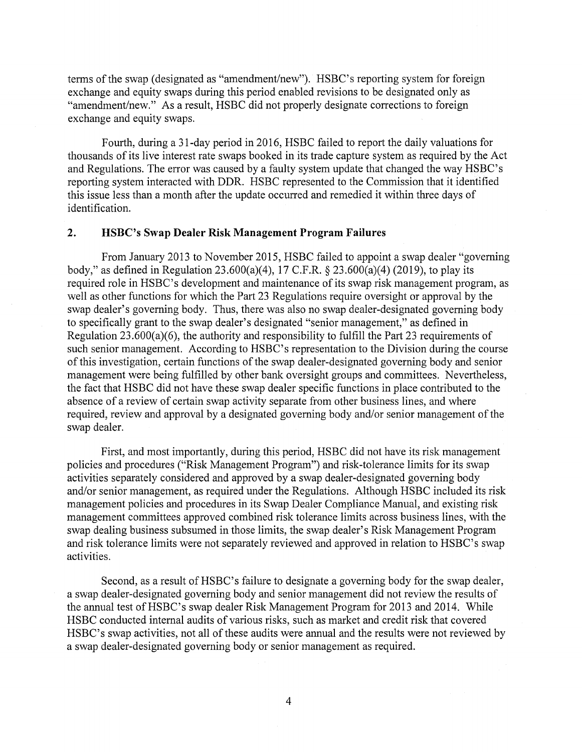terms of the swap (designated as "amendment/new"). HSBC's reporting system for foreign exchange and equity swaps during this period enabled revisions to be designated only as "amendment/new." As a result, HSBC did not properly designate corrections to foreign exchange and equity swaps.

Fourth, during a 31-day period in 2016, HSBC failed to report the daily valuations for thousands of its live interest rate swaps booked in its trade capture system as required by the Act and Regulations. The error was caused by a faulty system update that changed the way HSBC's reporting system interacted with DDR. HSBC represented to the Commission that it identified this issue less than a month after the update occurred and remedied it within three days of identification.

## **2. HSBC's Swap Dealer Risk Management Program Failures**

From January 2013 to November 2015, HSBC failed to appoint a swap dealer "governing body," as defined in Regulation 23.600(a)(4), 17 C.F.R. § 23.600(a)(4) (2019), to play its required role in HSBC's development and maintenance of its swap risk management program, as well as other functions for which the Part 23 Regulations require oversight or approval by the swap dealer's governing body. Thus, there was also no swap dealer-designated governing body to specifically grant to the swap dealer's designated "senior management," as defined in Regulation 23.600(a)(6), the authority and responsibility to fulfill the Part 23 requirements of such senior management. According to HSBC's representation to the Division during the course of this investigation, certain functions of the swap dealer-designated governing body and senior management were being fulfilled by other bank oversight groups and committees. Nevertheless, the fact that HSBC did not have these swap dealer specific functions in place contributed to the absence of a review of certain swap activity separate from other business lines, and where required, review and approval by a designated governing body and/or senior management of the swap dealer.

First, and most importantly, during this period, HSBC did not have its risk management policies and procedures ("Risk Management Program") and risk-tolerance limits for its swap activities separately considered and approved by a swap dealer-designated governing body and/or senior management, as required under the Regulations. Although HSBC included its risk management policies and procedures in its Swap Dealer Compliance Manual, and existing risk management committees approved combined risk tolerance limits across business lines, with the swap dealing business subsumed in those limits, the swap dealer's Risk Management Program and risk tolerance limits were not separately reviewed and approved in relation to HSBC's swap activities.

Second, as a result of HSBC's failure to designate a governing body for the swap dealer, a swap dealer-designated governing body and senior management did not review the results of the annual test of HSBC's swap dealer Risk Management Program for 2013 and 2014. While HSBC conducted internal audits of various risks, such as market and credit risk that covered HSBC's swap activities, not all of these audits were annual and the results were not reviewed by a swap dealer-designated governing body or senior management as required.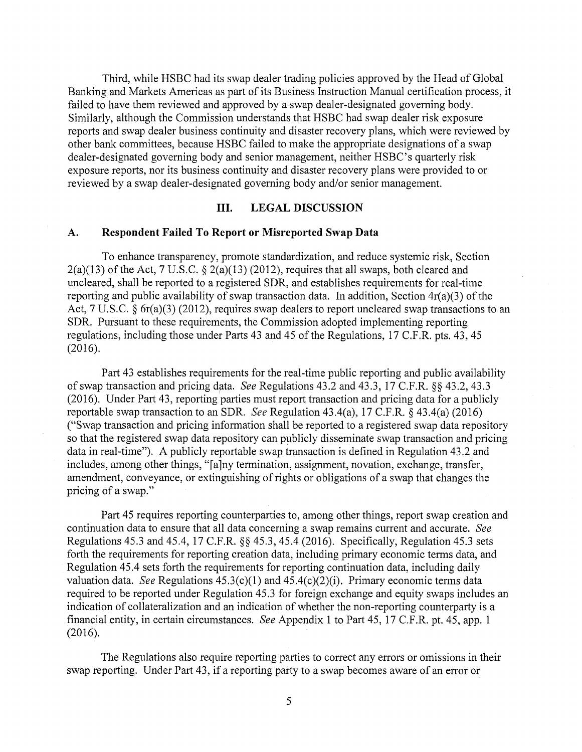Third, while HSBC had its swap dealer trading policies approved by the Head of Global Banking and Markets Americas as part of its Business Instruction Manual certification process, it failed to have them reviewed and approved by a swap dealer-designated governing body. Similarly, although the Commission understands that HSBC had swap dealer risk exposure reports and swap dealer business continuity and disaster recovery plans, which were reviewed by other bank committees, because HSBC failed to make the appropriate designations of a swap dealer-designated governing body and senior management, neither HSBC's quarterly risk exposure reports, nor its business continuity and disaster recovery plans were provided to or reviewed by a swap dealer-designated governing body and/or senior management.

#### **III. LEGAL DISCUSSION**

#### **A. Respondent Failed To Report or Misreported Swap Data**

To enhance transparency, promote standardization, and reduce systemic risk, Section  $2(a)(13)$  of the Act, 7 U.S.C. §  $2(a)(13)$  (2012), requires that all swaps, both cleared and uncleared, shall be reported to a registered SDR, and establishes requirements for real-time reporting and public availability of swap transaction data. In addition, Section 4r(a)(3) of the Act, 7 U.S.C. § 6r(a)(3) (2012), requires swap dealers to report uncleared swap transactions to an SDR. Pursuant to these requirements, the Commission adopted implementing reporting regulations, including those under Parts 43 and 45 of the Regulations, 17 C.F.R. pts. 43, 45 (2016).

Part 43 establishes requirements for the real-time public reporting and public availability of swap transaction and pricing data. *See* Regulations 43.2 and 43.3, 17 C.F.R. §§ 43.2, 43.3 (2016). Under Part 43, reporting parties must report transaction and pricing data for a publicly reportable swap transaction to an SDR. *See* Regulation 43.4(a), 17 C.F.R. § 43.4(a) (2016) ("Swap transaction and pricing information shall be reported to a registered swap data repository so that the registered swap data repository can publicly disseminate swap transaction and pricing data in real-time"). A publicly reportable swap transaction is defined in Regulation 43.2 and includes, among other things, "[a]ny termination, assignment, novation, exchange, transfer, amendment, conveyance, or extinguishing of rights or obligations of a swap that changes the pricing of a swap."

Part 45 requires reporting counterparties to, among other things, report swap creation and continuation data to ensure that all data concerning a swap remains current and accurate. *See*  Regulations 45.3 and 45.4, 17 C.F.R. §§ 45.3, 45.4 (2016). Specifically, Regulation 45.3 sets forth the requirements for reporting creation data, including primary economic terms data, and Regulation 45.4 sets forth the requirements for reporting continuation data, including daily valuation data. *See* Regulations  $45.3(c)(1)$  and  $45.4(c)(2)(i)$ . Primary economic terms data required to be reported under Regulation 45.3 for foreign exchange and equity swaps includes an indication of collateralization and an indication of whether the non-reporting counterparty is a financial entity, in certain circumstances. *See* Appendix 1 to Part 45, 17 C.F.R. pt. 45, app. 1 (2016).

The Regulations also require reporting parties to correct any errors or omissions in their swap reporting. Under Part 43, if a reporting party to a swap becomes aware of an error or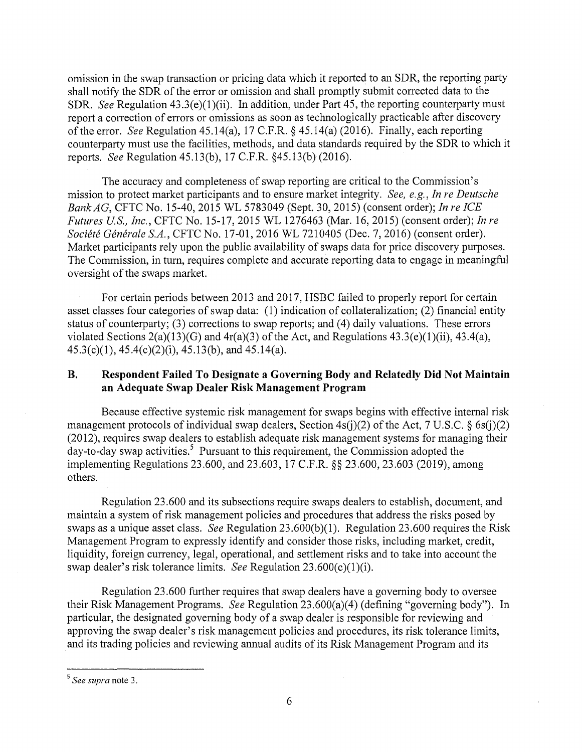omission in the swap transaction or pricing data which it reported to an SDR, the reporting party shall notify the SDR of the error or omission and shall promptly submit corrected data to the SDR. *See* Regulation 43.3(e)(1)(ii). In addition, under Part 45, the reporting counterparty must report a correction of errors or omissions as soon as technologically practicable after discovery of the error. *See* Regulation 45.14(a), 17 C.F.R. § 45.14(a) (2016). Finally, each reporting counterparty must use the facilities, methods, and data standards required by the SDR to which it reports. *See* Regulation 45.13(b), 17 C.F.R. §45.13(b) (2016).

The accuracy and completeness of swap reporting are critical to the Commission's mission to protect market participants and to ensure market integrity. *See, e.g., In re Deutsche Bank AG,* CFTC No. 15-40, 2015 WL 5783049 (Sept. 30, 2015) (consent order); *In re ICE Futures US., Inc.,* CFTC No. 15-17, 2015 WL 1276463 (Mar. 16, 2015) (consent order); *In re Societe Generale S.A.,* CFTC No. 17-01, 2016 WL 7210405 (Dec. 7, 2016) (consent order). Market participants rely upon the public availability of swaps data for price discovery purposes. The Commission, in turn, requires complete and accurate reporting data to engage in meaningful oversight of the swaps market.

For certain periods between 2013 and 2017, HSBC failed to properly report for certain asset classes four categories of swap data: (1) indication of collateralization; (2) financial entity status of counterparty; (3) corrections to swap reports; and (4) daily valuations. These errors violated Sections  $2(a)(13)(G)$  and  $4r(a)(3)$  of the Act, and Regulations  $43.3(e)(1)(ii)$ ,  $43.4(a)$ , 45.3(c)(l), 45.4(c)(2)(i), 45.13(b), and 45.14(a).

## **B. Respondent Failed To Designate a Governing Body and Relatedly Did Not Maintain an Adequate Swap Dealer Risk Management Program**

Because effective systemic risk management for swaps begins with effective internal risk management protocols of individual swap dealers, Section  $4s(i)(2)$  of the Act, 7 U.S.C. § 6s(j)(2) (2012), requires swap dealers to establish adequate risk management systems for managing their day-to-day swap activities.<sup>5</sup> Pursuant to this requirement, the Commission adopted the implementing Regulations 23.600, and 23.603, 17 C.F.R. §§ 23.600, 23.603 (2019), among others.

Regulation 23.600 and its subsections require swaps dealers to establish, document, and maintain a system of risk management policies and procedures that address the risks posed by swaps as a unique asset class. *See* Regulation 23.600(b)(l). Regulation 23.600 requires the Risk Management Program to expressly identify and consider those risks, including market, credit, liquidity, foreign currency, legal, operational, and settlement risks and to take into account the swap dealer's risk tolerance limits. *See* Regulation 23.600(c)(1)(i).

Regulation 23.600 further requires that swap dealers have a governing body to oversee their Risk Management Programs. *See* Regulation 23.600(a)(4) (defining "governing body"). In particular, the designated governing body of a swap dealer is responsible for reviewing and approving the swap dealer's risk management policies and procedures, its risk tolerance limits, and its trading policies and reviewing annual audits of its Risk Management Program and its

<sup>5</sup>*See supra* note 3.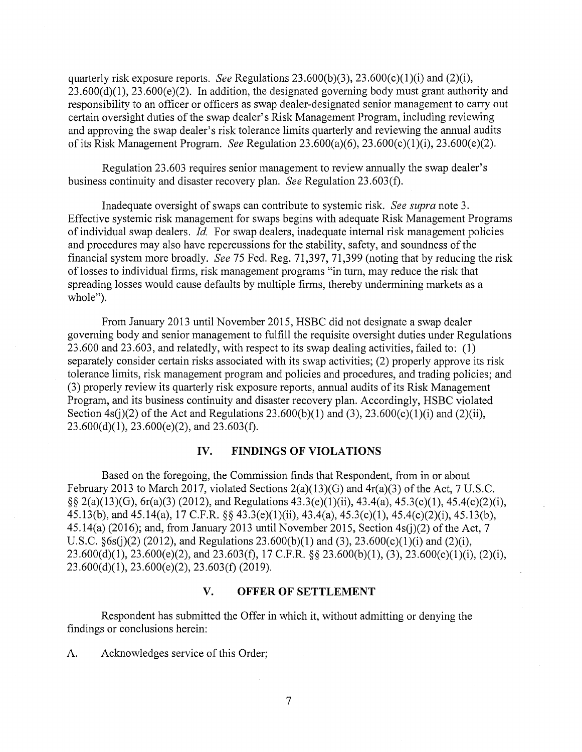quarterly risk exposure reports. *See* Regulations 23.600(b)(3), 23.600(c)(l)(i) and (2)(i),  $23.600(d)(1)$ ,  $23.600(e)(2)$ . In addition, the designated governing body must grant authority and responsibility to an officer or officers as swap dealer-designated senior management to carry out certain oversight duties of the swap dealer's Risk Management Program, including reviewing and approving the swap dealer's risk tolerance limits quarterly and reviewing the annual audits of its Risk Management Program. *See* Regulation 23.600(a)(6), 23.600(c)(l)(i), 23.600(e)(2).

Regulation 23.603 requires senior management to review annually the swap dealer's business continuity and disaster recovery plan. *See* Regulation 23.603(f).

Inadequate oversight of swaps can contribute to systemic risk. *See supra* note 3. Effective systemic risk management for swaps begins with adequate Risk Management Programs of individual swap dealers. *Id.* For swap dealers, inadequate internal risk management policies and procedures may also have repercussions for the stability, safety, and soundness of the financial system more broadly. *See* 75 Fed. Reg. 71,397, 71,399 (noting that by reducing the risk of losses to individual firms, risk management programs "in tum, may reduce the risk that spreading losses would cause defaults by multiple firms, thereby undermining markets as a whole").

From January 2013 until November 2015, HSBC did not designate a swap dealer governing body and senior management to fulfill the requisite oversight duties under Regulations 23 .600 and 23 .603, and relatedly, with respect to its swap dealing activities, failed to: (1) separately consider certain risks associated with its swap activities; (2) properly approve its risk tolerance limits, risk management program and policies and procedures, and trading policies; and (3) properly review its quarterly risk exposure reports, annual audits of its Risk Management Program, and its business continuity and disaster recovery plan. Accordingly, HSBC violated Section  $4s(i)(2)$  of the Act and Regulations 23.600(b)(1) and (3), 23.600(c)(1)(i) and (2)(ii),  $23.600(d)(1)$ ,  $23.600(e)(2)$ , and  $23.603(f)$ .

#### **IV. FINDINGS OF VIOLATIONS**

Based on the foregoing, the Commission finds that Respondent, from in or about February 2013 to March 2017, violated Sections 2(a)(13)(G) and 4r(a)(3) of the Act, 7 U.S.C. §§ 2(a)(13)(G), 6r(a)(3) (2012), and Regulations  $43.3(e)(1)(ii)$ ,  $43.4(a)$ ,  $45.3(c)(1)$ ,  $45.4(c)(2)(i)$ , 45.13(b), and 45.14(a), 17 C.F.R. §§ 43.3(e)(l)(ii), 43.4(a), 45.3(c)(l), 45.4(c)(2)(i), 45.13(b), 45.14(a) (2016); and, from January 2013 until November 2015, Section 4s(j)(2) of the Act, 7 U.S.C.  $\S6s(j)(2)$  (2012), and Regulations 23.600(b)(1) and (3), 23.600(c)(1)(i) and (2)(i), 23.600(d)(1), 23.600(e)(2), and 23.603(f), 17 C.F.R. §§ 23.600(b)(1), (3), 23.600(c)(1)(i), (2)(i),  $23.600(d)(1), 23.600(e)(2), 23.603(f)(2019).$ 

#### **V. OFFER OF SETTLEMENT**

Respondent has submitted the Offer in which it, without admitting or denying the findings or conclusions herein:

A. Acknowledges service of this Order;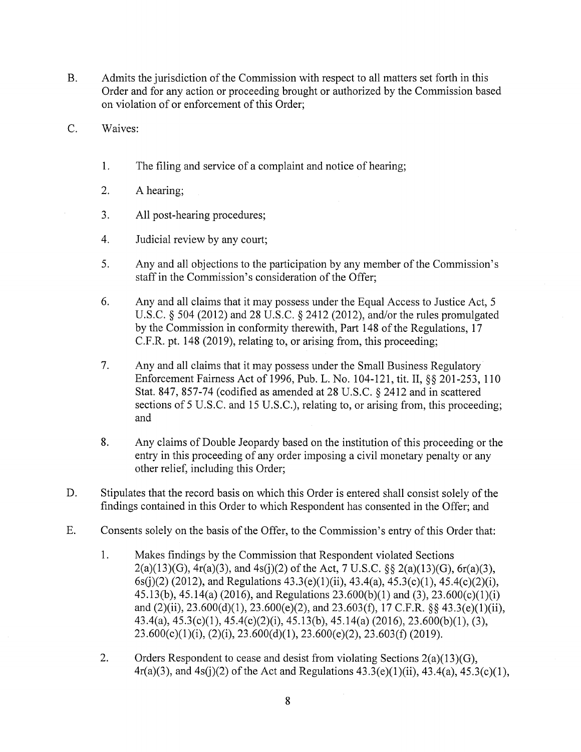- B. Admits the jurisdiction of the Commission with respect to all matters set forth in this Order and for any action or proceeding brought or authorized by the Commission based on violation of or enforcement of this Order;
- C. Waives:
	- 1. The filing and service of a complaint and notice of hearing;
	- 2. A hearing;
	- 3. All post-hearing procedures;
	- 4. Judicial review by any court;
	- 5. Any and all objections to the participation by any member of the Commission's staff in the Commission's consideration of the Offer;
	- 6. Any and all claims that it may possess under the Equal Access to Justice Act, 5 U.S.C. § 504 (2012) and 28 U.S.C. § 2412 (2012), and/or the rules promulgated by the Commission in conformity therewith, Part 148 of the Regulations, 17 C.F.R. pt. 148 (2019), relating to, or arising from, this proceeding;
	- 7. Any and all claims that it may possess under the Small Business Regulatory Enforcement Fairness Act of 1996, Pub. L. No. 104-121, tit. II,§§ 201-253, 110 Stat. 847, 857-74 (codified as amended at 28 U.S.C. § 2412 and in scattered sections of 5 U.S.C. and 15 U.S.C.), relating to, or arising from, this proceeding; and
	- 8. Any claims of Double Jeopardy based on the institution of this proceeding or the entry in this proceeding of any order imposing a civil monetary penalty or any other relief, including this Order;
- D. Stipulates that the record basis on which this Order is entered shall consist solely of the findings contained in this Order to which Respondent has consented in the Offer; and
- E. Consents solely on the basis of the Offer, to the Commission's entry of this Order that:
	- 1. Makes findings by the Commission that Respondent violated Sections  $2(a)(13)(G)$ ,  $4r(a)(3)$ , and  $4s(j)(2)$  of the Act, 7 U.S.C. §§  $2(a)(13)(G)$ ,  $6r(a)(3)$ ,  $6s(i)(2)$  (2012), and Regulations 43.3(e)(1)(ii), 43.4(a), 45.3(c)(1), 45.4(c)(2)(i), 45.13(b), 45.14(a) (2016), and Regulations 23.600(b)(l) and (3), 23.600(c)(l)(i) and  $(2)(ii)$ ,  $23.600(d)(1)$ ,  $23.600(e)(2)$ , and  $23.603(f)$ ,  $17$  C.F.R. §§  $43.3(e)(1)(ii)$ , 43.4(a), 45.3(c)(l), 45.4(c)(2)(i), 45.13(b), 45.14(a) (2016), 23.600(b)(l), (3),  $23.600(c)(1)(i)$ ,  $(2)(i)$ ,  $23.600(d)(1)$ ,  $23.600(e)(2)$ ,  $23.603(f)(2019)$ .
	- 2. Orders Respondent to cease and desist from violating Sections  $2(a)(13)(G)$ ,  $4r(a)(3)$ , and  $4s(i)(2)$  of the Act and Regulations  $43.3(e)(1)(ii)$ ,  $43.4(a)$ ,  $45.3(c)(1)$ ,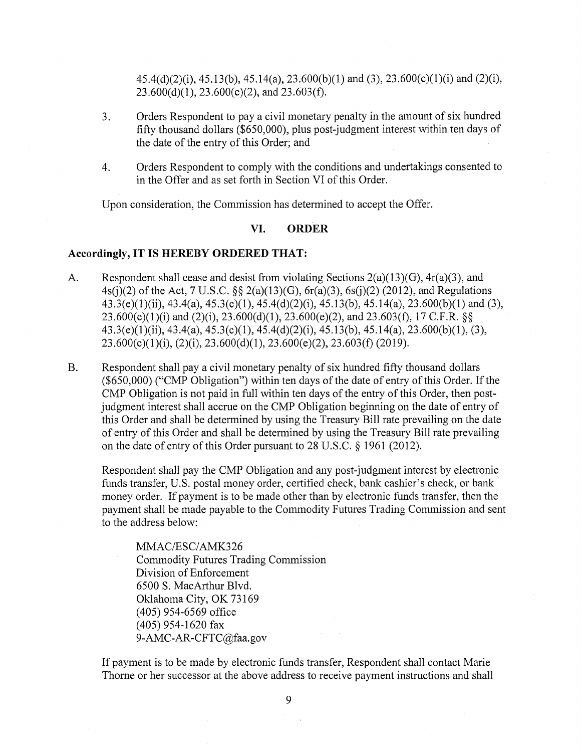45.4(d)(2)(i), 45.13(b), 45.14(a), 23.600(b)(l) and (3), 23.600(c)(l)(i) and (2)(i),  $23.600(d)(1)$ ,  $23.600(e)(2)$ , and  $23.603(f)$ .

- 3. Orders Respondent to pay a civil monetary penalty in the amount of six hundred fifty thousand dollars (\$650,000), plus post-judgment interest within ten days of the date of the entry of this Order; and
- 4. Orders Respondent to comply with the conditions and undertakings consented to in the Offer and as set forth in Section VI of this Order.

Upon consideration, the Commission has determined to accept the Offer.

## **VI. ORDER**

#### **Accordingly, IT IS HEREBY ORDERED THAT:**

- A. Respondent shall cease and desist from violating Sections 2(a)(13)(G), 4r(a)(3), and 4s(j)(2) of the Act, 7 U.S.C.  $\S\S 2(a)(13)(G)$ ,  $6r(a)(3)$ ,  $6s(i)(2)$  (2012), and Regulations 43.3(e)(l)(ii), 43.4(a), 45.3(c)(l), 45.4(d)(2)(i), 45.13(b), 45.14(a), 23.600(b)(l) and (3),  $23.600(c)(1)(i)$  and  $(2)(i)$ ,  $23.600(d)(1)$ ,  $23.600(e)(2)$ , and  $23.603(f)$ , 17 C.F.R. §§ 43.3(e)(l)(ii), 43.4(a), 45.3(c)(l), 45.4(d)(2)(i), 45.13(b), 45.14(a), 23.600(b)(l), (3),  $23.600(c)(1)(i)$ ,  $(2)(i)$ ,  $23.600(d)(1)$ ,  $23.600(e)(2)$ ,  $23.603(f)(2019)$ .
- B. Respondent shall pay a civil monetary penalty of six hundred fifty thousand dollars (\$650,000) ("CMP Obligation") within ten days of the date of entry of this Order. If the CMP Obligation is not paid in full within ten days of the entry of this Order, then postjudgment interest shall accrue on the CMP Obligation beginning on the date of entry of this Order and shall be determined by using the Treasury Bill rate prevailing on the date of entry of this Order and shall be determined by using the Treasury Bill rate prevailing on the date of entry of this Order pursuant to 28 U.S.C. § 1961 (2012).

Respondent shall pay the CMP Obligation and any post-judgment interest by electronic funds transfer, U.S. postal money order, certified check, bank cashier's check, or bank money order. If payment is to be made other than by electronic funds transfer, then the payment shall be made payable to the Commodity Futures Trading Commission and sent to the address below:

MMAC/ESC/AMK326 Commodity Futures Trading Commission Division of Enforcement 6500 S. MacArthur Blvd. Oklahoma City, OK 73169 ( 405) 954-6569 office (405) 954-1620 fax 9-AMC-AR-CFTC@faa.gov

If payment is to be made by electronic funds transfer, Respondent shall contact Marie Thome or her successor at the above address to receive payment instructions and shall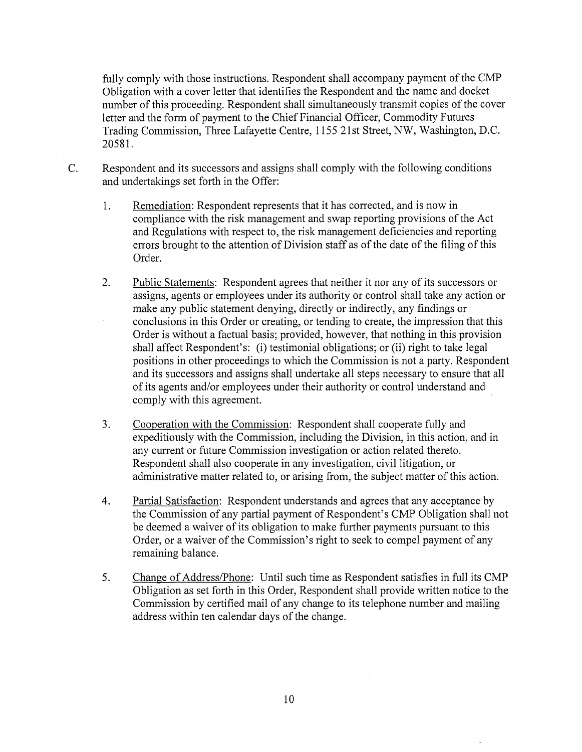fully comply with those instructions. Respondent shall accompany payment of the CMP Obligation with a cover letter that identifies the Respondent and the name and docket number of this proceeding. Respondent shall simultaneously transmit copies of the cover letter and the form of payment to the Chief Financial Officer, Commodity Futures Trading Commission, Three Lafayette Centre, 1155 21st Street, NW, Washington, D.C. 20581.

- C. Respondent and its successors and assigns shall comply with the following conditions and undertakings set forth in the Offer:
	- 1. Remediation: Respondent represents that it has corrected, and is now in compliance with the risk management and swap reporting provisions of the Act and Regulations with respect to, the risk management deficiencies and reporting errors brought to the attention of Division staff as of the date of the filing of this Order.
	- 2. Public Statements: Respondent agrees that neither it nor any of its successors or assigns, agents or employees under its authority or control shall take any action or make any public statement denying, directly or indirectly, any findings or conclusions in this Order or creating, or tending to create, the impression that this Order is without a factual basis; provided, however, that nothing in this provision shall affect Respondent's: (i) testimonial obligations; or (ii) right to take legal positions in other proceedings to which the Commission is not a party. Respondent and its successors and assigns shall undertake all steps necessary to ensure that all of its agents and/or employees under their authority or control understand and comply with this agreement.
	- 3. Cooperation with the Commission: Respondent shall cooperate fully and expeditiously with the Commission, including the Division, in this action, and in any current or future Commission investigation or action related thereto. Respondent shall also cooperate in any investigation, civil litigation, or administrative matter related to, or arising from, the subject matter of this action.
	- 4. Partial Satisfaction: Respondent understands and agrees that any acceptance by the Commission of any partial payment of Respondent's CMP Obligation shall not be deemed a waiver of its obligation to make further payments pursuant to this Order, or a waiver of the Commission's right to seek to compel payment of any remaining balance.
	- 5. Change of Address/Phone: Until such time as Respondent satisfies in full its CMP Obligation as set forth in this Order, Respondent shall provide written notice to the Commission by certified mail of any change to its telephone number and mailing address within ten calendar days of the change.